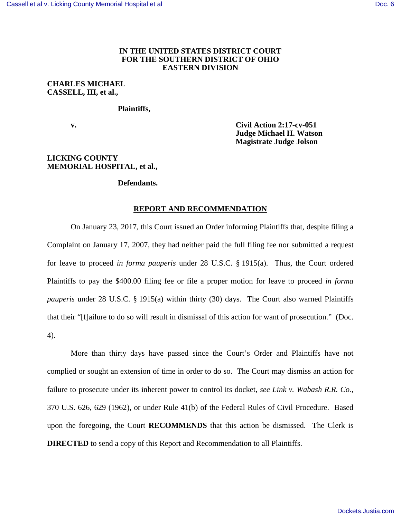## **IN THE UNITED STATES DISTRICT COURT FOR THE SOUTHERN DISTRICT OF OHIO EASTERN DIVISION**

## **CHARLES MICHAEL CASSELL, III, et al.,**

#### **Plaintiffs,**

**v. 12.17-cv-051 v. 12.17-cv-051 Judge Michael H. Watson Magistrate Judge Jolson** 

# **LICKING COUNTY MEMORIAL HOSPITAL, et al.,**

### **Defendants.**

## **REPORT AND RECOMMENDATION**

On January 23, 2017, this Court issued an Order informing Plaintiffs that, despite filing a Complaint on January 17, 2007, they had neither paid the full filing fee nor submitted a request for leave to proceed *in forma pauperis* under 28 U.S.C. § 1915(a). Thus, the Court ordered Plaintiffs to pay the \$400.00 filing fee or file a proper motion for leave to proceed *in forma pauperis* under 28 U.S.C. § 1915(a) within thirty (30) days. The Court also warned Plaintiffs that their "[f]ailure to do so will result in dismissal of this action for want of prosecution." (Doc. 4).

More than thirty days have passed since the Court's Order and Plaintiffs have not complied or sought an extension of time in order to do so. The Court may dismiss an action for failure to prosecute under its inherent power to control its docket, *see Link v. Wabash R.R. Co.*, 370 U.S. 626, 629 (1962), or under Rule 41(b) of the Federal Rules of Civil Procedure. Based upon the foregoing, the Court **RECOMMENDS** that this action be dismissed. The Clerk is **DIRECTED** to send a copy of this Report and Recommendation to all Plaintiffs.